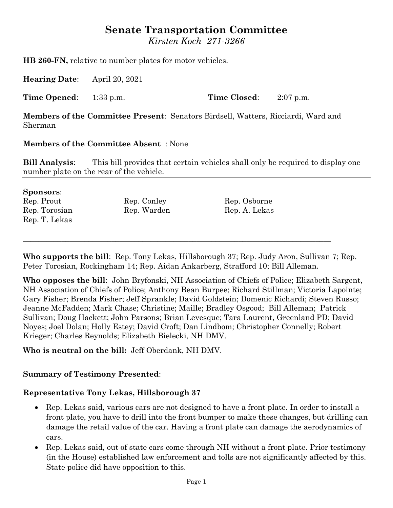# **Senate Transportation Committee**

*Kirsten Koch 271-3266*

**HB 260-FN,** relative to number plates for motor vehicles.

**Hearing Date**: April 20, 2021

**Time Opened**: 1:33 p.m. **Time Closed**: 2:07 p.m.

**Members of the Committee Present**: Senators Birdsell, Watters, Ricciardi, Ward and Sherman

#### **Members of the Committee Absent** : None

**Bill Analysis**: This bill provides that certain vehicles shall only be required to display one number plate on the rear of the vehicle.

#### **Sponsors**:

| Rep. Prout    | Rep. Conley | Rep. Osborne  |
|---------------|-------------|---------------|
| Rep. Torosian | Rep. Warden | Rep. A. Lekas |
| Rep. T. Lekas |             |               |
|               |             |               |

**Who supports the bill**: Rep. Tony Lekas, Hillsborough 37; Rep. Judy Aron, Sullivan 7; Rep. Peter Torosian, Rockingham 14; Rep. Aidan Ankarberg, Strafford 10; Bill Alleman.

 $\_$  , and the set of the set of the set of the set of the set of the set of the set of the set of the set of the set of the set of the set of the set of the set of the set of the set of the set of the set of the set of th

**Who opposes the bill**: John Bryfonski, NH Association of Chiefs of Police; Elizabeth Sargent, NH Association of Chiefs of Police; Anthony Bean Burpee; Richard Stillman; Victoria Lapointe; Gary Fisher; Brenda Fisher; Jeff Sprankle; David Goldstein; Domenic Richardi; Steven Russo; Jeanne McFadden; Mark Chase; Christine; Maille; Bradley Osgood; Bill Alleman; Patrick Sullivan; Doug Hackett; John Parsons; Brian Levesque; Tara Laurent, Greenland PD; David Noyes; Joel Dolan; Holly Estey; David Croft; Dan Lindbom; Christopher Connelly; Robert Krieger; Charles Reynolds; Elizabeth Bielecki, NH DMV.

#### **Who is neutral on the bill:** Jeff Oberdank, NH DMV.

#### **Summary of Testimony Presented**:

#### **Representative Tony Lekas, Hillsborough 37**

- Rep. Lekas said, various cars are not designed to have a front plate. In order to install a front plate, you have to drill into the front bumper to make these changes, but drilling can damage the retail value of the car. Having a front plate can damage the aerodynamics of cars.
- Rep. Lekas said, out of state cars come through NH without a front plate. Prior testimony (in the House) established law enforcement and tolls are not significantly affected by this. State police did have opposition to this.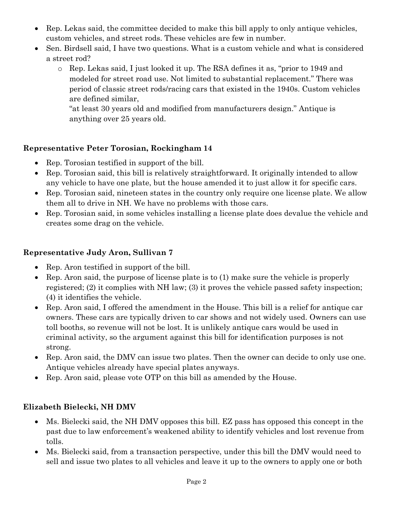- Rep. Lekas said, the committee decided to make this bill apply to only antique vehicles, custom vehicles, and street rods. These vehicles are few in number.
- Sen. Birdsell said, I have two questions. What is a custom vehicle and what is considered a street rod?
	- o Rep. Lekas said, I just looked it up. The RSA defines it as, "prior to 1949 and modeled for street road use. Not limited to substantial replacement." There was period of classic street rods/racing cars that existed in the 1940s. Custom vehicles are defined similar,

"at least 30 years old and modified from manufacturers design." Antique is anything over 25 years old.

# **Representative Peter Torosian, Rockingham 14**

- Rep. Torosian testified in support of the bill.
- Rep. Torosian said, this bill is relatively straightforward. It originally intended to allow any vehicle to have one plate, but the house amended it to just allow it for specific cars.
- Rep. Torosian said, nineteen states in the country only require one license plate. We allow them all to drive in NH. We have no problems with those cars.
- Rep. Torosian said, in some vehicles installing a license plate does devalue the vehicle and creates some drag on the vehicle.

# **Representative Judy Aron, Sullivan 7**

- Rep. Aron testified in support of the bill.
- Rep. Aron said, the purpose of license plate is to (1) make sure the vehicle is properly registered; (2) it complies with NH law; (3) it proves the vehicle passed safety inspection; (4) it identifies the vehicle.
- Rep. Aron said, I offered the amendment in the House. This bill is a relief for antique car owners. These cars are typically driven to car shows and not widely used. Owners can use toll booths, so revenue will not be lost. It is unlikely antique cars would be used in criminal activity, so the argument against this bill for identification purposes is not strong.
- Rep. Aron said, the DMV can issue two plates. Then the owner can decide to only use one. Antique vehicles already have special plates anyways.
- Rep. Aron said, please vote OTP on this bill as amended by the House.

### **Elizabeth Bielecki, NH DMV**

- Ms. Bielecki said, the NH DMV opposes this bill. EZ pass has opposed this concept in the past due to law enforcement's weakened ability to identify vehicles and lost revenue from tolls.
- Ms. Bielecki said, from a transaction perspective, under this bill the DMV would need to sell and issue two plates to all vehicles and leave it up to the owners to apply one or both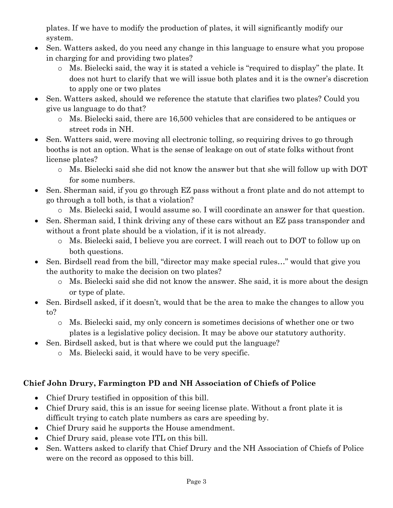plates. If we have to modify the production of plates, it will significantly modify our system.

- Sen. Watters asked, do you need any change in this language to ensure what you propose in charging for and providing two plates?
	- o Ms. Bielecki said, the way it is stated a vehicle is "required to display" the plate. It does not hurt to clarify that we will issue both plates and it is the owner's discretion to apply one or two plates
- Sen. Watters asked, should we reference the statute that clarifies two plates? Could you give us language to do that?
	- o Ms. Bielecki said, there are 16,500 vehicles that are considered to be antiques or street rods in NH.
- Sen. Watters said, were moving all electronic tolling, so requiring drives to go through booths is not an option. What is the sense of leakage on out of state folks without front license plates?
	- o Ms. Bielecki said she did not know the answer but that she will follow up with DOT for some numbers.
- Sen. Sherman said, if you go through EZ pass without a front plate and do not attempt to go through a toll both, is that a violation?
	- o Ms. Bielecki said, I would assume so. I will coordinate an answer for that question.
- Sen. Sherman said, I think driving any of these cars without an EZ pass transponder and without a front plate should be a violation, if it is not already.
	- o Ms. Bielecki said, I believe you are correct. I will reach out to DOT to follow up on both questions.
- Sen. Birdsell read from the bill, "director may make special rules…" would that give you the authority to make the decision on two plates?
	- o Ms. Bielecki said she did not know the answer. She said, it is more about the design or type of plate.
- Sen. Birdsell asked, if it doesn't, would that be the area to make the changes to allow you to?
	- o Ms. Bielecki said, my only concern is sometimes decisions of whether one or two plates is a legislative policy decision. It may be above our statutory authority.
- Sen. Birdsell asked, but is that where we could put the language?
	- o Ms. Bielecki said, it would have to be very specific.

# **Chief John Drury, Farmington PD and NH Association of Chiefs of Police**

- Chief Drury testified in opposition of this bill.
- Chief Drury said, this is an issue for seeing license plate. Without a front plate it is difficult trying to catch plate numbers as cars are speeding by.
- Chief Drury said he supports the House amendment.
- Chief Drury said, please vote ITL on this bill.
- Sen. Watters asked to clarify that Chief Drury and the NH Association of Chiefs of Police were on the record as opposed to this bill.